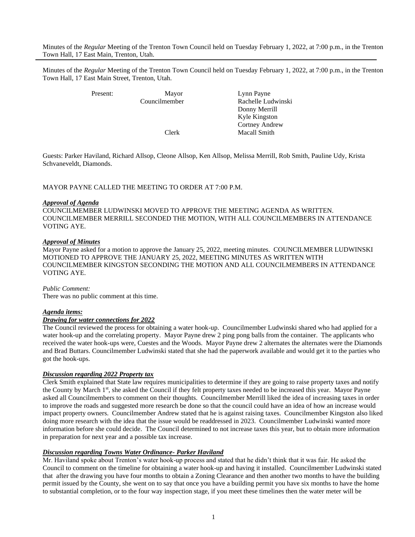Minutes of the *Regular* Meeting of the Trenton Town Council held on Tuesday February 1, 2022, at 7:00 p.m., in the Trenton Town Hall, 17 East Main, Trenton, Utah.

Minutes of the *Regular* Meeting of the Trenton Town Council held on Tuesday February 1, 2022, at 7:00 p.m., in the Trenton Town Hall, 17 East Main Street, Trenton, Utah.

Present: Mayor Lynn Payne Councilmember Rachelle Ludwinski Donny Merrill Kyle Kingston Cortney Andrew Clerk Macall Smith

Guests: Parker Haviland, Richard Allsop, Cleone Allsop, Ken Allsop, Melissa Merrill, Rob Smith, Pauline Udy, Krista Schvaneveldt, Diamonds.

## MAYOR PAYNE CALLED THE MEETING TO ORDER AT 7:00 P.M.

#### *Approval of Agenda*

COUNCILMEMBER LUDWINSKI MOVED TO APPROVE THE MEETING AGENDA AS WRITTEN. COUNCILMEMBER MERRILL SECONDED THE MOTION, WITH ALL COUNCILMEMBERS IN ATTENDANCE VOTING AYE.

## *Approval of Minutes*

Mayor Payne asked for a motion to approve the January 25, 2022, meeting minutes. COUNCILMEMBER LUDWINSKI MOTIONED TO APPROVE THE JANUARY 25, 2022, MEETING MINUTES AS WRITTEN WITH COUNCILMEMBER KINGSTON SECONDING THE MOTION AND ALL COUNCILMEMBERS IN ATTENDANCE VOTING AYE.

#### *Public Comment:*

There was no public comment at this time.

### *Agenda items:*

# *Drawing for water connections for 2022*

The Council reviewed the process for obtaining a water hook-up. Councilmember Ludwinski shared who had applied for a water hook-up and the correlating property. Mayor Payne drew 2 ping pong balls from the container. The applicants who received the water hook-ups were, Cuestes and the Woods. Mayor Payne drew 2 alternates the alternates were the Diamonds and Brad Buttars. Councilmember Ludwinski stated that she had the paperwork available and would get it to the parties who got the hook-ups.

#### *Discussion regarding 2022 Property tax*

Clerk Smith explained that State law requires municipalities to determine if they are going to raise property taxes and notify the County by March 1<sup>st</sup>, she asked the Council if they felt property taxes needed to be increased this year. Mayor Payne asked all Councilmembers to comment on their thoughts. Councilmember Merrill liked the idea of increasing taxes in order to improve the roads and suggested more research be done so that the council could have an idea of how an increase would impact property owners. Councilmember Andrew stated that he is against raising taxes. Councilmember Kingston also liked doing more research with the idea that the issue would be readdressed in 2023. Councilmember Ludwinski wanted more information before she could decide. The Council determined to not increase taxes this year, but to obtain more information in preparation for next year and a possible tax increase.

#### *Discussion regarding Towns Water Ordinance- Parker Haviland*

Mr. Haviland spoke about Trenton's water hook-up process and stated that he didn't think that it was fair. He asked the Council to comment on the timeline for obtaining a water hook-up and having it installed. Councilmember Ludwinski stated that after the drawing you have four months to obtain a Zoning Clearance and then another two months to have the building permit issued by the County, she went on to say that once you have a building permit you have six months to have the home to substantial completion, or to the four way inspection stage, if you meet these timelines then the water meter will be